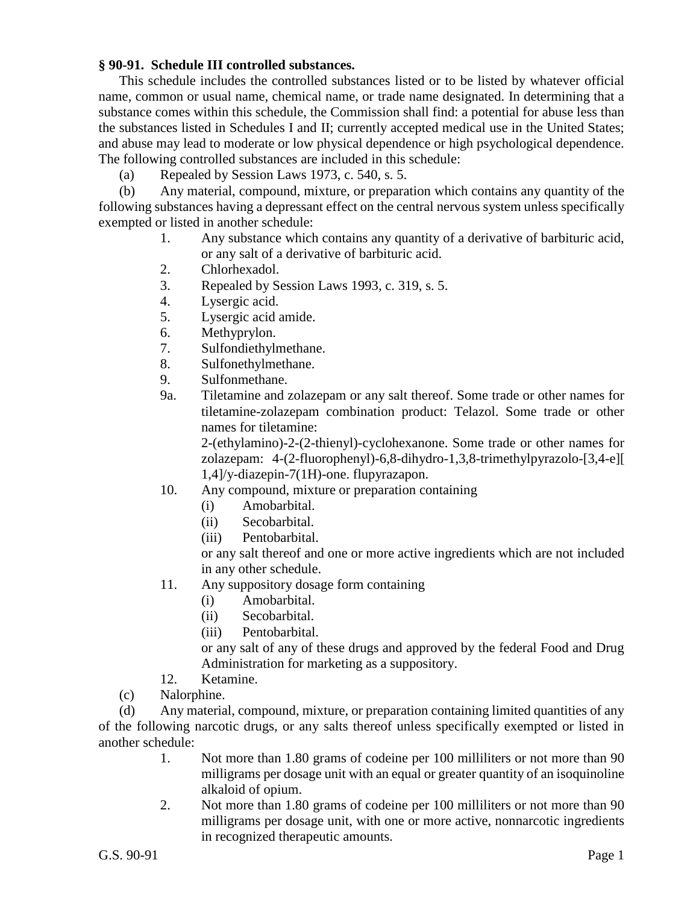## **§ 90-91. Schedule III controlled substances.**

This schedule includes the controlled substances listed or to be listed by whatever official name, common or usual name, chemical name, or trade name designated. In determining that a substance comes within this schedule, the Commission shall find: a potential for abuse less than the substances listed in Schedules I and II; currently accepted medical use in the United States; and abuse may lead to moderate or low physical dependence or high psychological dependence. The following controlled substances are included in this schedule:

(a) Repealed by Session Laws 1973, c. 540, s. 5.

(b) Any material, compound, mixture, or preparation which contains any quantity of the following substances having a depressant effect on the central nervous system unless specifically exempted or listed in another schedule:

- 1. Any substance which contains any quantity of a derivative of barbituric acid, or any salt of a derivative of barbituric acid.
- 2. Chlorhexadol.
- 3. Repealed by Session Laws 1993, c. 319, s. 5.
- 4. Lysergic acid.
- 5. Lysergic acid amide.
- 6. Methyprylon.
- 7. Sulfondiethylmethane.
- 8. Sulfonethylmethane.
- 9. Sulfonmethane.
- 9a. Tiletamine and zolazepam or any salt thereof. Some trade or other names for tiletamine-zolazepam combination product: Telazol. Some trade or other names for tiletamine:

2-(ethylamino)-2-(2-thienyl)-cyclohexanone. Some trade or other names for zolazepam: 4-(2-fluorophenyl)-6,8-dihydro-1,3,8-trimethylpyrazolo-[3,4-e][ 1,4]/y-diazepin-7(1H)-one. flupyrazapon.

- 10. Any compound, mixture or preparation containing
	- (i) Amobarbital.
	- (ii) Secobarbital.
	- (iii) Pentobarbital.

or any salt thereof and one or more active ingredients which are not included in any other schedule.

- 11. Any suppository dosage form containing
	- (i) Amobarbital.
	- (ii) Secobarbital.
	- (iii) Pentobarbital.

or any salt of any of these drugs and approved by the federal Food and Drug Administration for marketing as a suppository.

- 12. Ketamine.
- (c) Nalorphine.

(d) Any material, compound, mixture, or preparation containing limited quantities of any of the following narcotic drugs, or any salts thereof unless specifically exempted or listed in another schedule:

- 1. Not more than 1.80 grams of codeine per 100 milliliters or not more than 90 milligrams per dosage unit with an equal or greater quantity of an isoquinoline alkaloid of opium.
- 2. Not more than 1.80 grams of codeine per 100 milliliters or not more than 90 milligrams per dosage unit, with one or more active, nonnarcotic ingredients in recognized therapeutic amounts.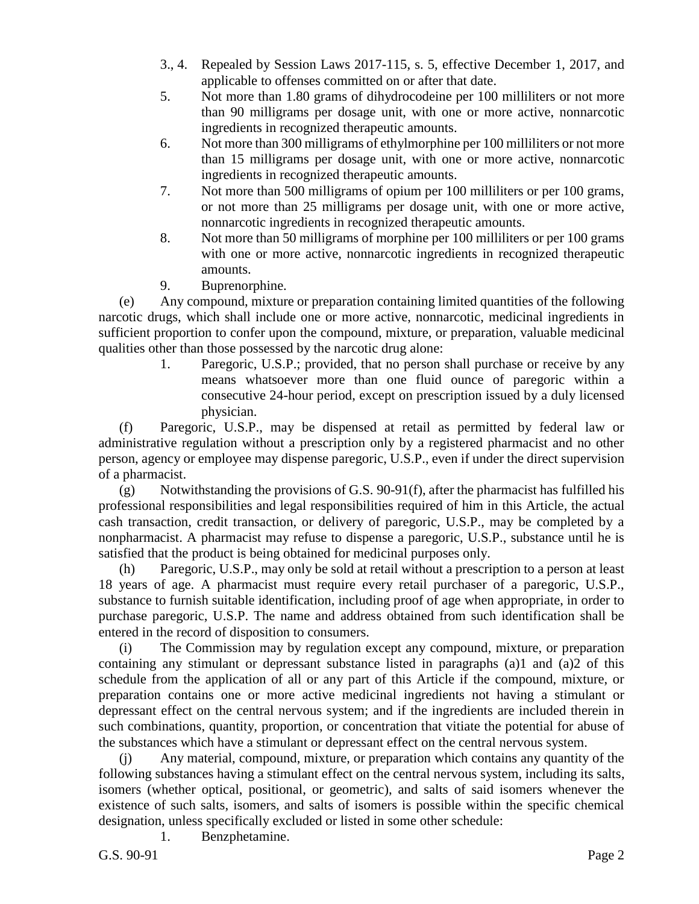- 3., 4. Repealed by Session Laws 2017-115, s. 5, effective December 1, 2017, and applicable to offenses committed on or after that date.
- 5. Not more than 1.80 grams of dihydrocodeine per 100 milliliters or not more than 90 milligrams per dosage unit, with one or more active, nonnarcotic ingredients in recognized therapeutic amounts.
- 6. Not more than 300 milligrams of ethylmorphine per 100 milliliters or not more than 15 milligrams per dosage unit, with one or more active, nonnarcotic ingredients in recognized therapeutic amounts.
- 7. Not more than 500 milligrams of opium per 100 milliliters or per 100 grams, or not more than 25 milligrams per dosage unit, with one or more active, nonnarcotic ingredients in recognized therapeutic amounts.
- 8. Not more than 50 milligrams of morphine per 100 milliliters or per 100 grams with one or more active, nonnarcotic ingredients in recognized therapeutic amounts.
- 9. Buprenorphine.

(e) Any compound, mixture or preparation containing limited quantities of the following narcotic drugs, which shall include one or more active, nonnarcotic, medicinal ingredients in sufficient proportion to confer upon the compound, mixture, or preparation, valuable medicinal qualities other than those possessed by the narcotic drug alone:

> 1. Paregoric, U.S.P.; provided, that no person shall purchase or receive by any means whatsoever more than one fluid ounce of paregoric within a consecutive 24-hour period, except on prescription issued by a duly licensed physician.

(f) Paregoric, U.S.P., may be dispensed at retail as permitted by federal law or administrative regulation without a prescription only by a registered pharmacist and no other person, agency or employee may dispense paregoric, U.S.P., even if under the direct supervision of a pharmacist.

 $(g)$  Notwithstanding the provisions of G.S. 90-91(f), after the pharmacist has fulfilled his professional responsibilities and legal responsibilities required of him in this Article, the actual cash transaction, credit transaction, or delivery of paregoric, U.S.P., may be completed by a nonpharmacist. A pharmacist may refuse to dispense a paregoric, U.S.P., substance until he is satisfied that the product is being obtained for medicinal purposes only.

(h) Paregoric, U.S.P., may only be sold at retail without a prescription to a person at least 18 years of age. A pharmacist must require every retail purchaser of a paregoric, U.S.P., substance to furnish suitable identification, including proof of age when appropriate, in order to purchase paregoric, U.S.P. The name and address obtained from such identification shall be entered in the record of disposition to consumers.

(i) The Commission may by regulation except any compound, mixture, or preparation containing any stimulant or depressant substance listed in paragraphs (a)1 and (a)2 of this schedule from the application of all or any part of this Article if the compound, mixture, or preparation contains one or more active medicinal ingredients not having a stimulant or depressant effect on the central nervous system; and if the ingredients are included therein in such combinations, quantity, proportion, or concentration that vitiate the potential for abuse of the substances which have a stimulant or depressant effect on the central nervous system.

(j) Any material, compound, mixture, or preparation which contains any quantity of the following substances having a stimulant effect on the central nervous system, including its salts, isomers (whether optical, positional, or geometric), and salts of said isomers whenever the existence of such salts, isomers, and salts of isomers is possible within the specific chemical designation, unless specifically excluded or listed in some other schedule:

1. Benzphetamine.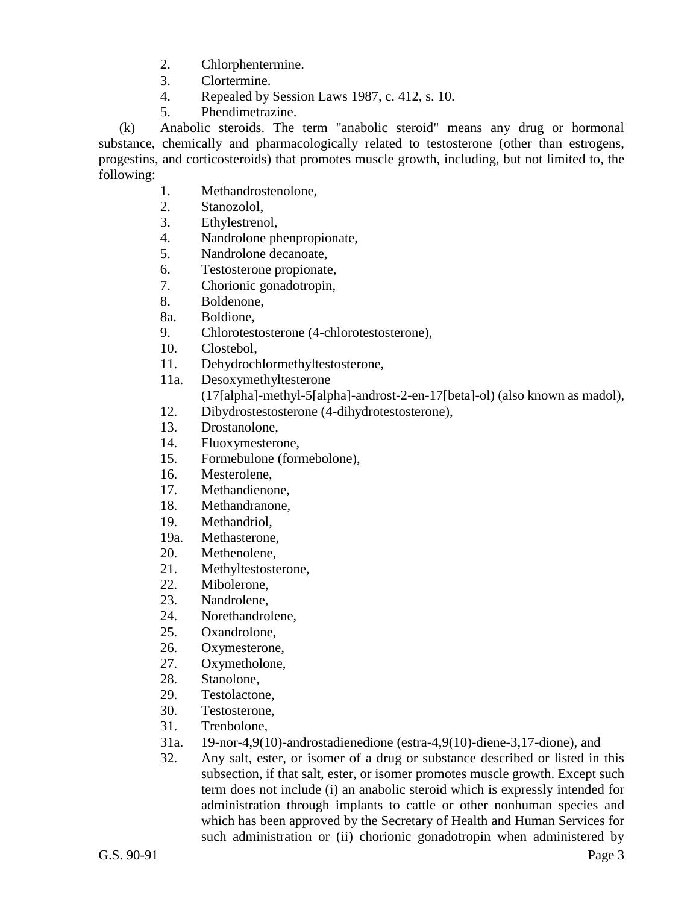- 2. Chlorphentermine.
- 3. Clortermine.
- 4. Repealed by Session Laws 1987, c. 412, s. 10.
- 5. Phendimetrazine.

(k) Anabolic steroids. The term "anabolic steroid" means any drug or hormonal substance, chemically and pharmacologically related to testosterone (other than estrogens, progestins, and corticosteroids) that promotes muscle growth, including, but not limited to, the following:

- 1. Methandrostenolone,
- 2. Stanozolol,
- 3. Ethylestrenol,
- 4. Nandrolone phenpropionate,
- 5. Nandrolone decanoate,
- 6. Testosterone propionate,
- 7. Chorionic gonadotropin,
- 8. Boldenone,
- 8a. Boldione,
- 9. Chlorotestosterone (4-chlorotestosterone),
- 10. Clostebol,
- 11. Dehydrochlormethyltestosterone,
- 11a. Desoxymethyltesterone
	- (17[alpha]-methyl-5[alpha]-androst-2-en-17[beta]-ol) (also known as madol),
- 12. Dibydrostestosterone (4-dihydrotestosterone),
- 13. Drostanolone,
- 14. Fluoxymesterone,
- 15. Formebulone (formebolone),
- 16. Mesterolene,
- 17. Methandienone,
- 18. Methandranone,
- 19. Methandriol,
- 19a. Methasterone,
- 20. Methenolene,
- 21. Methyltestosterone,
- 22. Mibolerone,
- 23. Nandrolene,
- 24. Norethandrolene,
- 25. Oxandrolone,
- 26. Oxymesterone,
- 27. Oxymetholone,
- 28. Stanolone,
- 29. Testolactone,
- 30. Testosterone,
- 31. Trenbolone,
- 31a. 19-nor-4,9(10)-androstadienedione (estra-4,9(10)-diene-3,17-dione), and
- 32. Any salt, ester, or isomer of a drug or substance described or listed in this subsection, if that salt, ester, or isomer promotes muscle growth. Except such term does not include (i) an anabolic steroid which is expressly intended for administration through implants to cattle or other nonhuman species and which has been approved by the Secretary of Health and Human Services for such administration or (ii) chorionic gonadotropin when administered by